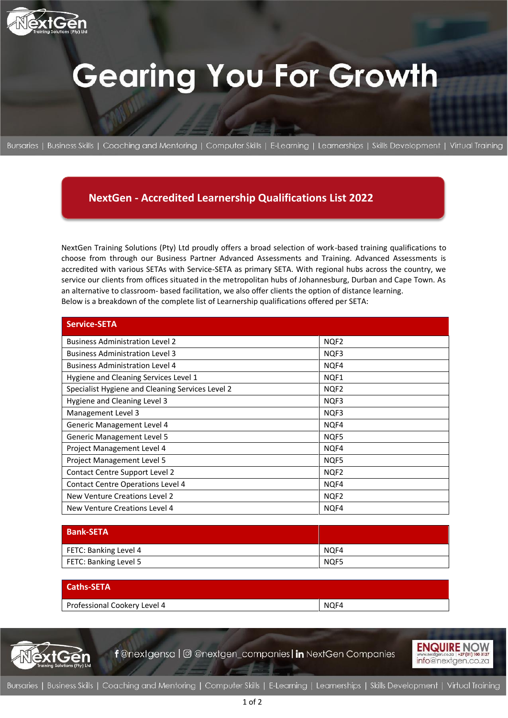

# **Gearing You For Growth**

Bursaries | Business Skills | Coaching and Mentoring | Computer Skills | E-Learning | Learnerships | Skills Development | Virtual Training

### **NextGen - Accredited Learnership Qualifications List 2022**

NextGen Training Solutions (Pty) Ltd proudly offers a broad selection of work-based training qualifications to choose from through our Business Partner Advanced Assessments and Training. Advanced Assessments is accredited with various SETAs with Service-SETA as primary SETA. With regional hubs across the country, we service our clients from offices situated in the metropolitan hubs of Johannesburg, Durban and Cape Town. As an alternative to classroom- based facilitation, we also offer clients the option of distance learning. Below is a breakdown of the complete list of Learnership qualifications offered per SETA:

| <b>Service-SETA</b>                              |                  |
|--------------------------------------------------|------------------|
| <b>Business Administration Level 2</b>           | NQF2             |
| <b>Business Administration Level 3</b>           | NQF3             |
| <b>Business Administration Level 4</b>           | NQF4             |
| Hygiene and Cleaning Services Level 1            | NQF1             |
| Specialist Hygiene and Cleaning Services Level 2 | NQF2             |
| Hygiene and Cleaning Level 3                     | NQF3             |
| Management Level 3                               | NQF3             |
| Generic Management Level 4                       | NQF4             |
| <b>Generic Management Level 5</b>                | NQF5             |
| Project Management Level 4                       | NO <sub>F4</sub> |
| Project Management Level 5                       | NQF5             |
| Contact Centre Support Level 2                   | NQF <sub>2</sub> |
| <b>Contact Centre Operations Level 4</b>         | NQF4             |
| New Venture Creations Level 2                    | NQF <sub>2</sub> |
| New Venture Creations Level 4                    | NQF4             |

| <b>Bank-SETA</b>      |                  |
|-----------------------|------------------|
| FETC: Banking Level 4 | NO <sub>F4</sub> |
| FETC: Banking Level 5 | NQF5             |

| <b>Caths-SETA</b>            |      |
|------------------------------|------|
| Professional Cookery Level 4 | NQF4 |



f @nextgensa | @ @nextgen\_companies | in NextGen Companies

**ENQUIRE NOW** info@nextgen.co.za